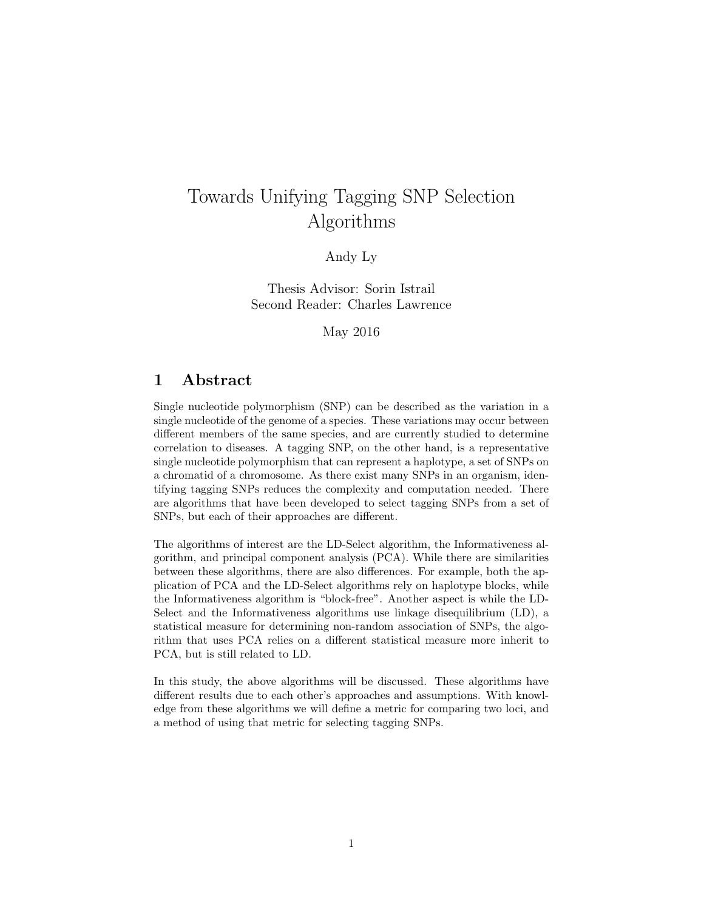# Towards Unifying Tagging SNP Selection Algorithms

Andy Ly

Thesis Advisor: Sorin Istrail Second Reader: Charles Lawrence

May 2016

# 1 Abstract

Single nucleotide polymorphism (SNP) can be described as the variation in a single nucleotide of the genome of a species. These variations may occur between different members of the same species, and are currently studied to determine correlation to diseases. A tagging SNP, on the other hand, is a representative single nucleotide polymorphism that can represent a haplotype, a set of SNPs on a chromatid of a chromosome. As there exist many SNPs in an organism, identifying tagging SNPs reduces the complexity and computation needed. There are algorithms that have been developed to select tagging SNPs from a set of SNPs, but each of their approaches are different.

The algorithms of interest are the LD-Select algorithm, the Informativeness algorithm, and principal component analysis (PCA). While there are similarities between these algorithms, there are also differences. For example, both the application of PCA and the LD-Select algorithms rely on haplotype blocks, while the Informativeness algorithm is "block-free". Another aspect is while the LD-Select and the Informativeness algorithms use linkage disequilibrium (LD), a statistical measure for determining non-random association of SNPs, the algorithm that uses PCA relies on a different statistical measure more inherit to PCA, but is still related to LD.

In this study, the above algorithms will be discussed. These algorithms have different results due to each other's approaches and assumptions. With knowledge from these algorithms we will define a metric for comparing two loci, and a method of using that metric for selecting tagging SNPs.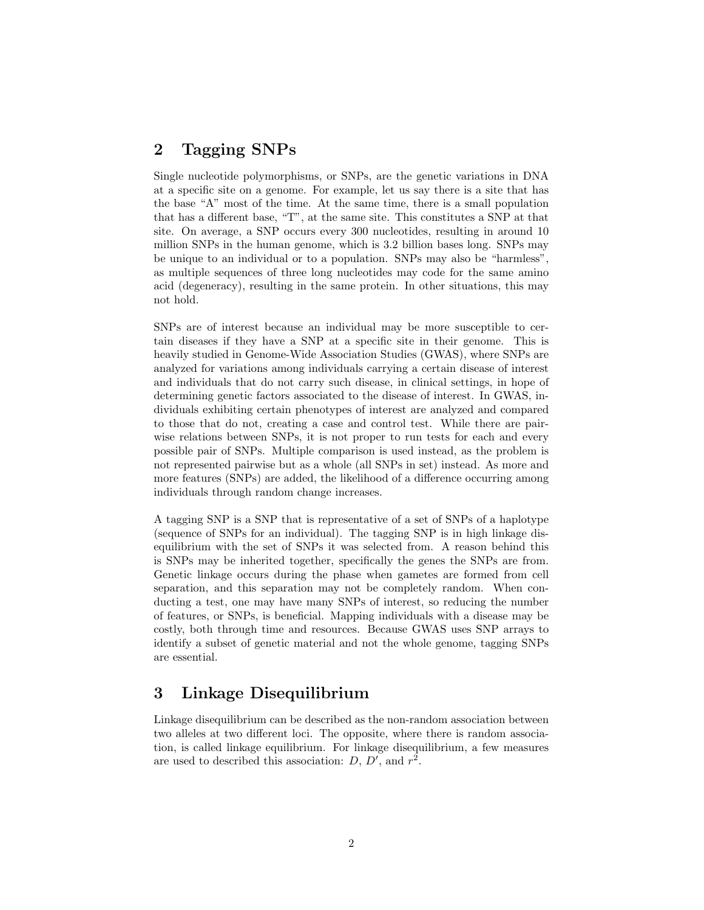# 2 Tagging SNPs

Single nucleotide polymorphisms, or SNPs, are the genetic variations in DNA at a specific site on a genome. For example, let us say there is a site that has the base "A" most of the time. At the same time, there is a small population that has a different base, "T", at the same site. This constitutes a SNP at that site. On average, a SNP occurs every 300 nucleotides, resulting in around 10 million SNPs in the human genome, which is 3.2 billion bases long. SNPs may be unique to an individual or to a population. SNPs may also be "harmless", as multiple sequences of three long nucleotides may code for the same amino acid (degeneracy), resulting in the same protein. In other situations, this may not hold.

SNPs are of interest because an individual may be more susceptible to certain diseases if they have a SNP at a specific site in their genome. This is heavily studied in Genome-Wide Association Studies (GWAS), where SNPs are analyzed for variations among individuals carrying a certain disease of interest and individuals that do not carry such disease, in clinical settings, in hope of determining genetic factors associated to the disease of interest. In GWAS, individuals exhibiting certain phenotypes of interest are analyzed and compared to those that do not, creating a case and control test. While there are pairwise relations between SNPs, it is not proper to run tests for each and every possible pair of SNPs. Multiple comparison is used instead, as the problem is not represented pairwise but as a whole (all SNPs in set) instead. As more and more features (SNPs) are added, the likelihood of a difference occurring among individuals through random change increases.

A tagging SNP is a SNP that is representative of a set of SNPs of a haplotype (sequence of SNPs for an individual). The tagging SNP is in high linkage disequilibrium with the set of SNPs it was selected from. A reason behind this is SNPs may be inherited together, specifically the genes the SNPs are from. Genetic linkage occurs during the phase when gametes are formed from cell separation, and this separation may not be completely random. When conducting a test, one may have many SNPs of interest, so reducing the number of features, or SNPs, is beneficial. Mapping individuals with a disease may be costly, both through time and resources. Because GWAS uses SNP arrays to identify a subset of genetic material and not the whole genome, tagging SNPs are essential.

# 3 Linkage Disequilibrium

Linkage disequilibrium can be described as the non-random association between two alleles at two different loci. The opposite, where there is random association, is called linkage equilibrium. For linkage disequilibrium, a few measures are used to described this association:  $D, D',$  and  $r^2$ .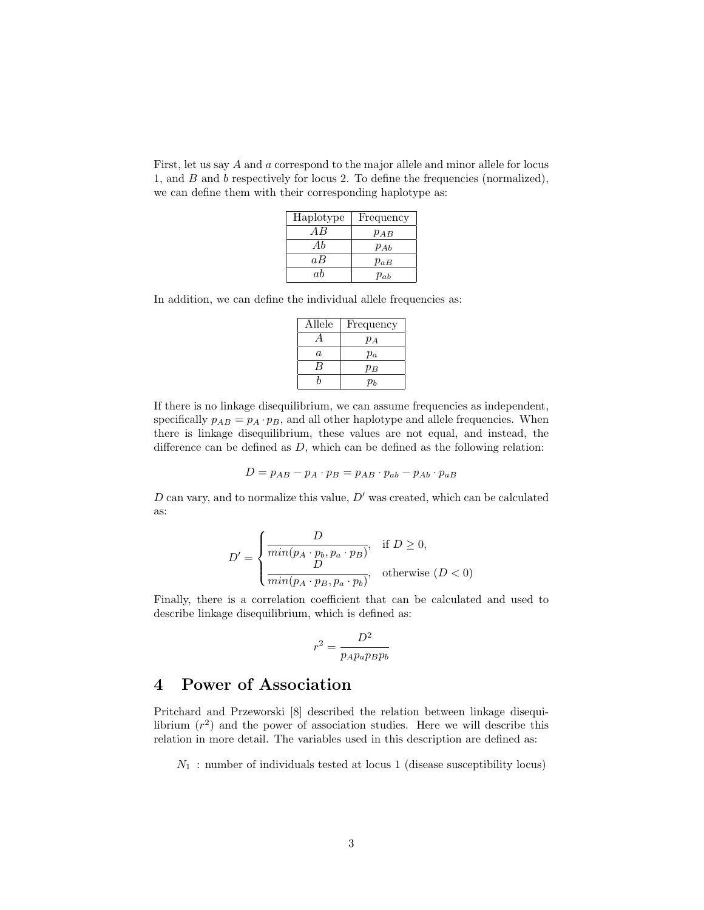First, let us say A and a correspond to the major allele and minor allele for locus 1, and B and b respectively for locus 2. To define the frequencies (normalized), we can define them with their corresponding haplotype as:

| Haplotype | Frequency |
|-----------|-----------|
| A R       | $p_{AB}$  |
| Ab        | $p_{Ab}$  |
| aΒ        | $p_{aB}$  |
| аb        | $p_{ab}$  |

In addition, we can define the individual allele frequencies as:

| Allele         | Frequency |
|----------------|-----------|
| $\overline{A}$ | $p_A$     |
| a              | $p_a$     |
| В              | $p_B$     |
|                | Dь        |

If there is no linkage disequilibrium, we can assume frequencies as independent, specifically  $p_{AB} = p_A \cdot p_B$ , and all other haplotype and allele frequencies. When there is linkage disequilibrium, these values are not equal, and instead, the difference can be defined as  $D$ , which can be defined as the following relation:

$$
D = p_{AB} - p_A \cdot p_B = p_{AB} \cdot p_{ab} - p_{Ab} \cdot p_{aB}
$$

D can vary, and to normalize this value,  $D'$  was created, which can be calculated as:

$$
D' = \begin{cases} \frac{D}{\min(p_A \cdot p_b, p_a \cdot p_B)}, & \text{if } D \ge 0, \\ \frac{D}{\min(p_A \cdot p_B, p_a \cdot p_b)}, & \text{otherwise } (D < 0) \end{cases}
$$

Finally, there is a correlation coefficient that can be calculated and used to describe linkage disequilibrium, which is defined as:

$$
r^2 = \frac{D^2}{p_A p_a p_B p_b}
$$

# 4 Power of Association

Pritchard and Przeworski [8] described the relation between linkage disequilibrium  $(r^2)$  and the power of association studies. Here we will describe this relation in more detail. The variables used in this description are defined as:

 $N_1$ : number of individuals tested at locus 1 (disease susceptibility locus)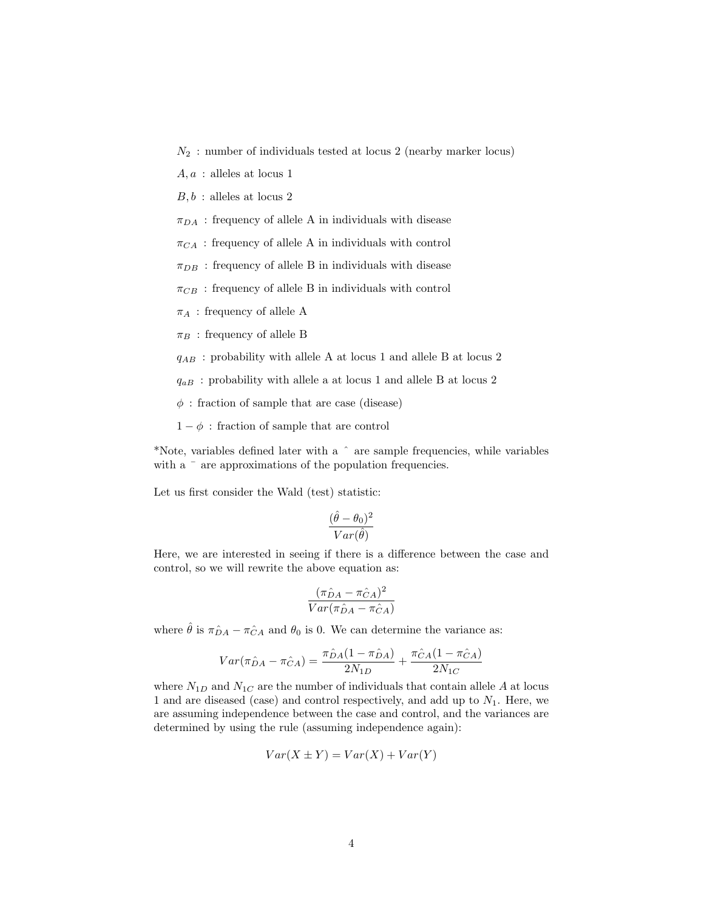- $N_2$ : number of individuals tested at locus 2 (nearby marker locus)
- $A, a$ : alleles at locus 1
- $B, b$ : alleles at locus 2
- $\pi_{DA}$ : frequency of allele A in individuals with disease
- $\pi_{CA}$ : frequency of allele A in individuals with control
- $\pi_{DB}$  : frequency of allele B in individuals with disease
- $\pi_{CB}$ : frequency of allele B in individuals with control
- $\pi_A$ : frequency of allele A
- $\pi_B$ : frequency of allele B
- $q_{AB}$ : probability with allele A at locus 1 and allele B at locus 2
- $q_{aB}$ : probability with allele a at locus 1 and allele B at locus 2
- $\phi$ : fraction of sample that are case (disease)
- $1 \phi$ : fraction of sample that are control

\*Note, variables defined later with a ˆ are sample frequencies, while variables with a  $\overline{\phantom{a}}$  are approximations of the population frequencies.

Let us first consider the Wald (test) statistic:

$$
\frac{(\hat{\theta} - \theta_0)^2}{Var(\hat{\theta})}
$$

Here, we are interested in seeing if there is a difference between the case and control, so we will rewrite the above equation as:

$$
\frac{(\pi \hat{D}A - \pi \hat{C}A)^2}{Var(\pi \hat{D}A - \pi \hat{C}A)}
$$

where  $\hat{\theta}$  is  $\pi_{DA}^{\hat{}} - \pi_{CA}^{\hat{}}$  and  $\theta_0$  is 0. We can determine the variance as:

$$
Var(\pi \hat{D}A - \pi \hat{C}A) = \frac{\pi \hat{D}A (1 - \pi \hat{D}A)}{2N_{1D}} + \frac{\pi \hat{C}A (1 - \pi \hat{C}A)}{2N_{1C}}
$$

where  $N_{1D}$  and  $N_{1C}$  are the number of individuals that contain allele A at locus 1 and are diseased (case) and control respectively, and add up to  $N_1$ . Here, we are assuming independence between the case and control, and the variances are determined by using the rule (assuming independence again):

$$
Var(X \pm Y) = Var(X) + Var(Y)
$$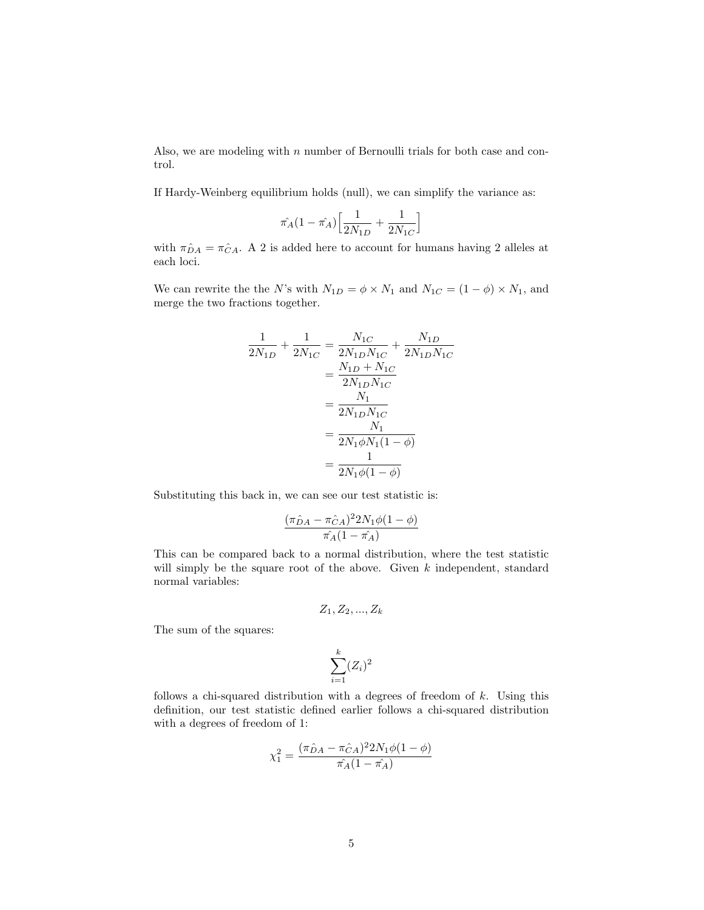Also, we are modeling with  $n$  number of Bernoulli trials for both case and control.

If Hardy-Weinberg equilibrium holds (null), we can simplify the variance as:

$$
\hat{\pi_A}(1-\hat{\pi_A})\Big[\frac{1}{2N_{1D}}+\frac{1}{2N_{1C}}\Big]
$$

with  $\pi_{DA}^{\circ} = \pi_{CA}^{\circ}$ . A 2 is added here to account for humans having 2 alleles at each loci.

We can rewrite the the N's with  $N_{1D} = \phi \times N_1$  and  $N_{1C} = (1 - \phi) \times N_1$ , and merge the two fractions together.

$$
\frac{1}{2N_{1D}} + \frac{1}{2N_{1C}} = \frac{N_{1C}}{2N_{1D}N_{1C}} + \frac{N_{1D}}{2N_{1D}N_{1C}}
$$

$$
= \frac{N_{1D} + N_{1C}}{2N_{1D}N_{1C}}
$$

$$
= \frac{N_1}{2N_{1D}N_{1C}}
$$

$$
= \frac{N_1}{2N_1\phi N_1(1-\phi)}
$$

$$
= \frac{1}{2N_1\phi(1-\phi)}
$$

Substituting this back in, we can see our test statistic is:

$$
\frac{(\pi \hat{D}A - \pi \hat{C}A)^2 2N_1 \phi(1-\phi)}{\pi \hat{A}(1-\pi \hat{A})}
$$

This can be compared back to a normal distribution, where the test statistic will simply be the square root of the above. Given  $k$  independent, standard normal variables:

$$
\mathcal{Z}_1, \mathcal{Z}_2, ..., \mathcal{Z}_k
$$

The sum of the squares:

$$
\sum_{i=1}^{k} (Z_i)^2
$$

follows a chi-squared distribution with a degrees of freedom of  $k$ . Using this definition, our test statistic defined earlier follows a chi-squared distribution with a degrees of freedom of 1:

$$
\chi_1^2 = \frac{(\pi \hat{D}A - \pi \hat{C}A)^2 2N_1 \phi(1 - \phi)}{\pi_A (1 - \pi_A)}
$$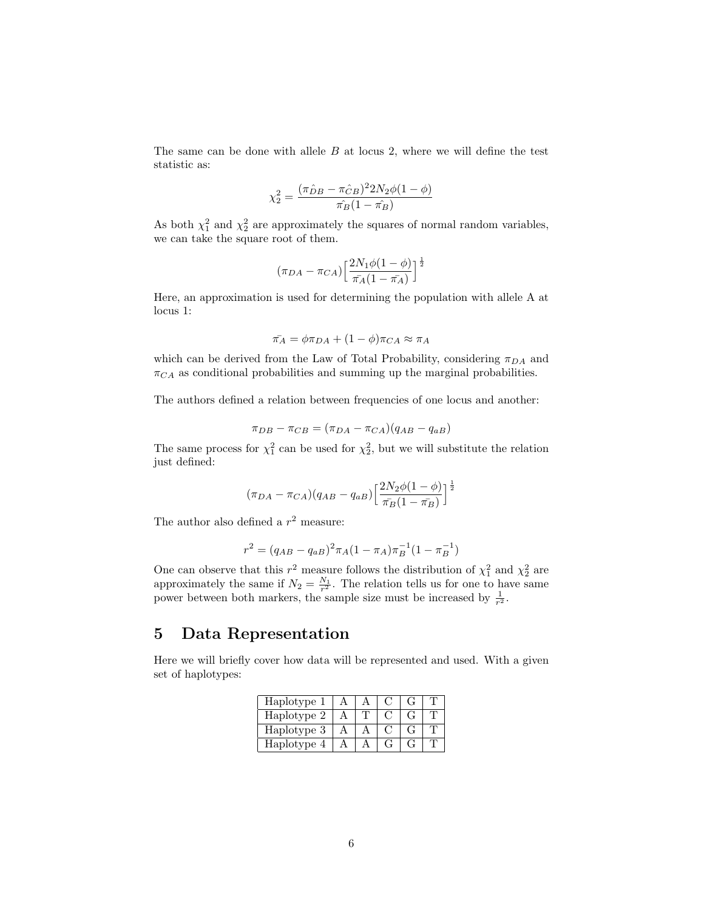The same can be done with allele  $B$  at locus 2, where we will define the test statistic as:

$$
\chi_2^2 = \frac{(\pi \hat{p}_B - \pi \hat{c}_B)^2 2N_2 \phi (1 - \phi)}{\pi \hat{B} (1 - \hat{b}_B)}
$$

As both  $\chi_1^2$  and  $\chi_2^2$  are approximately the squares of normal random variables, we can take the square root of them.

$$
(\pi_{DA}-\pi_{CA})\left[\frac{2N_1\phi(1-\phi)}{\pi_A(1-\pi_A)}\right]^{\frac{1}{2}}
$$

Here, an approximation is used for determining the population with allele A at locus 1:

$$
\bar{\pi_A} = \phi \pi_{DA} + (1 - \phi) \pi_{CA} \approx \pi_A
$$

which can be derived from the Law of Total Probability, considering  $\pi_{DA}$  and  $\pi_{CA}$  as conditional probabilities and summing up the marginal probabilities.

The authors defined a relation between frequencies of one locus and another:

$$
\pi_{DB} - \pi_{CB} = (\pi_{DA} - \pi_{CA})(q_{AB} - q_{aB})
$$

The same process for  $\chi_1^2$  can be used for  $\chi_2^2$ , but we will substitute the relation just defined:

$$
(\pi_{DA} - \pi_{CA})(q_{AB} - q_{aB}) \left[ \frac{2N_2\phi(1-\phi)}{\pi_B(1-\pi_B)} \right]^{\frac{1}{2}}
$$

The author also defined a  $r^2$  measure:

$$
r^{2} = (q_{AB} - q_{aB})^{2} \pi_{A} (1 - \pi_{A}) \pi_{B}^{-1} (1 - \pi_{B}^{-1})
$$

One can observe that this  $r^2$  measure follows the distribution of  $\chi_1^2$  and  $\chi_2^2$  are approximately the same if  $N_2 = \frac{N_1}{r^2}$ . The relation tells us for one to have same power between both markers, the sample size must be increased by  $\frac{1}{r^2}$ .

## 5 Data Representation

Here we will briefly cover how data will be represented and used. With a given set of haplotypes:

| Haplotype 1 |  |  |  |
|-------------|--|--|--|
| Haplotype 2 |  |  |  |
| Haplotype 3 |  |  |  |
| Haplotype 4 |  |  |  |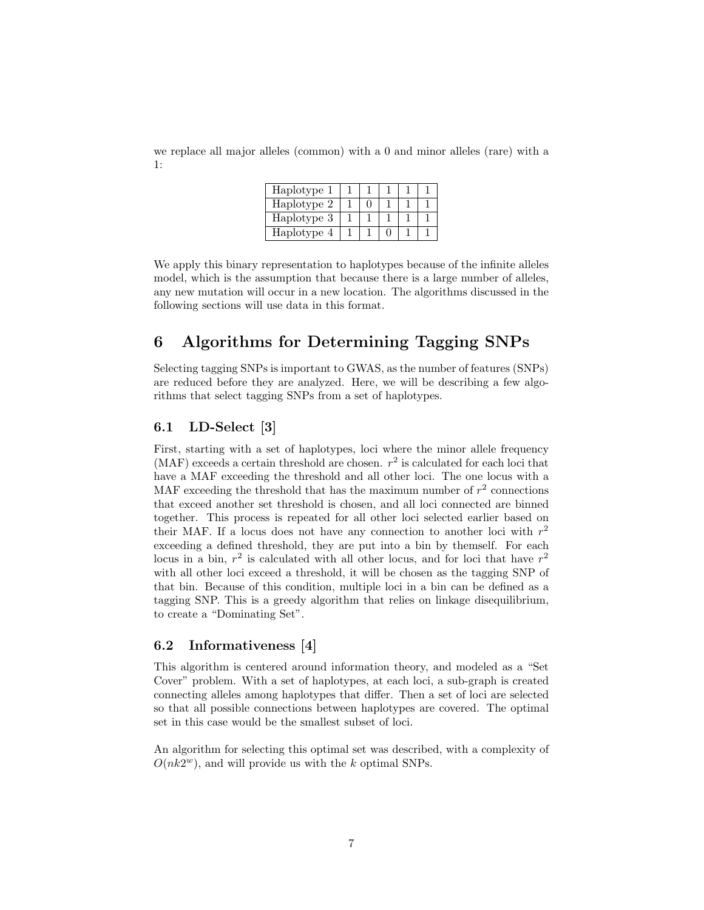we replace all major alleles (common) with a 0 and minor alleles (rare) with a 1:

| Haplotype 1 |  |  |  |
|-------------|--|--|--|
| Haplotype 2 |  |  |  |
| Haplotype 3 |  |  |  |
| Haplotype 4 |  |  |  |

We apply this binary representation to haplotypes because of the infinite alleles model, which is the assumption that because there is a large number of alleles, any new mutation will occur in a new location. The algorithms discussed in the following sections will use data in this format.

# 6 Algorithms for Determining Tagging SNPs

Selecting tagging SNPs is important to GWAS, as the number of features (SNPs) are reduced before they are analyzed. Here, we will be describing a few algorithms that select tagging SNPs from a set of haplotypes.

### 6.1 LD-Select [3]

First, starting with a set of haplotypes, loci where the minor allele frequency (MAF) exceeds a certain threshold are chosen.  $r^2$  is calculated for each loci that have a MAF exceeding the threshold and all other loci. The one locus with a MAF exceeding the threshold that has the maximum number of  $r^2$  connections that exceed another set threshold is chosen, and all loci connected are binned together. This process is repeated for all other loci selected earlier based on their MAF. If a locus does not have any connection to another loci with  $r^2$ exceeding a defined threshold, they are put into a bin by themself. For each locus in a bin,  $r^2$  is calculated with all other locus, and for loci that have  $r^2$ with all other loci exceed a threshold, it will be chosen as the tagging SNP of that bin. Because of this condition, multiple loci in a bin can be defined as a tagging SNP. This is a greedy algorithm that relies on linkage disequilibrium, to create a "Dominating Set".

#### 6.2 Informativeness [4]

This algorithm is centered around information theory, and modeled as a "Set Cover" problem. With a set of haplotypes, at each loci, a sub-graph is created connecting alleles among haplotypes that differ. Then a set of loci are selected so that all possible connections between haplotypes are covered. The optimal set in this case would be the smallest subset of loci.

An algorithm for selecting this optimal set was described, with a complexity of  $O(nk2^w)$ , and will provide us with the k optimal SNPs.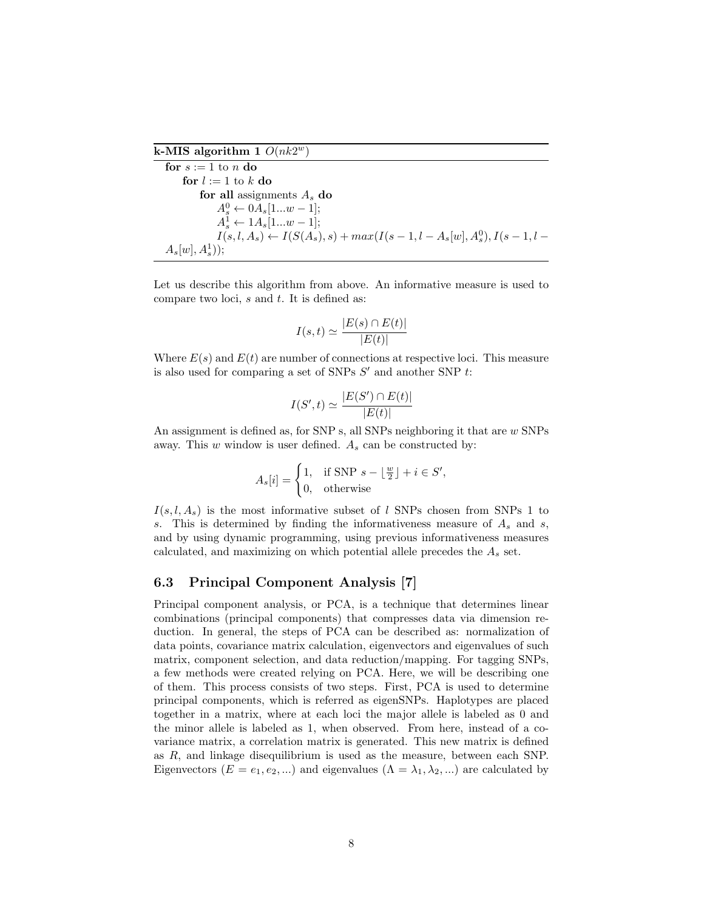k-MIS algorithm 1  $O(nk2^w)$ 

```
for s := 1 to n do
for l := 1 to k do
    for all assignments A_s do
         A_s^0 \leftarrow 0 A_s [1...w-1];A_s^1 \leftarrow 1A_s[1...w-1];I(s, l, A_s) \leftarrow I(S(A_s), s) + max(I(s - 1, l - A_s[w], A_s^0), I(s - 1, l -A_s[w], A_s^1);
```
Let us describe this algorithm from above. An informative measure is used to compare two loci,  $s$  and  $t$ . It is defined as:

$$
I(s,t) \simeq \frac{|E(s) \cap E(t)|}{|E(t)|}
$$

Where  $E(s)$  and  $E(t)$  are number of connections at respective loci. This measure is also used for comparing a set of SNPs  $S'$  and another SNP  $t$ :

$$
I(S',t) \simeq \frac{|E(S') \cap E(t)|}{|E(t)|}
$$

An assignment is defined as, for SNP s, all SNPs neighboring it that are w SNPs away. This  $w$  window is user defined.  $A_s$  can be constructed by:

$$
A_s[i] = \begin{cases} 1, & \text{if SNP } s - \lfloor \frac{w}{2} \rfloor + i \in S', \\ 0, & \text{otherwise} \end{cases}
$$

 $I(s, l, A_s)$  is the most informative subset of l SNPs chosen from SNPs 1 to s. This is determined by finding the informativeness measure of  $A_s$  and s, and by using dynamic programming, using previous informativeness measures calculated, and maximizing on which potential allele precedes the  $A_s$  set.

#### 6.3 Principal Component Analysis [7]

Principal component analysis, or PCA, is a technique that determines linear combinations (principal components) that compresses data via dimension reduction. In general, the steps of PCA can be described as: normalization of data points, covariance matrix calculation, eigenvectors and eigenvalues of such matrix, component selection, and data reduction/mapping. For tagging SNPs, a few methods were created relying on PCA. Here, we will be describing one of them. This process consists of two steps. First, PCA is used to determine principal components, which is referred as eigenSNPs. Haplotypes are placed together in a matrix, where at each loci the major allele is labeled as 0 and the minor allele is labeled as 1, when observed. From here, instead of a covariance matrix, a correlation matrix is generated. This new matrix is defined as R, and linkage disequilibrium is used as the measure, between each SNP. Eigenvectors  $(E = e_1, e_2, ...)$  and eigenvalues  $(\Lambda = \lambda_1, \lambda_2, ...)$  are calculated by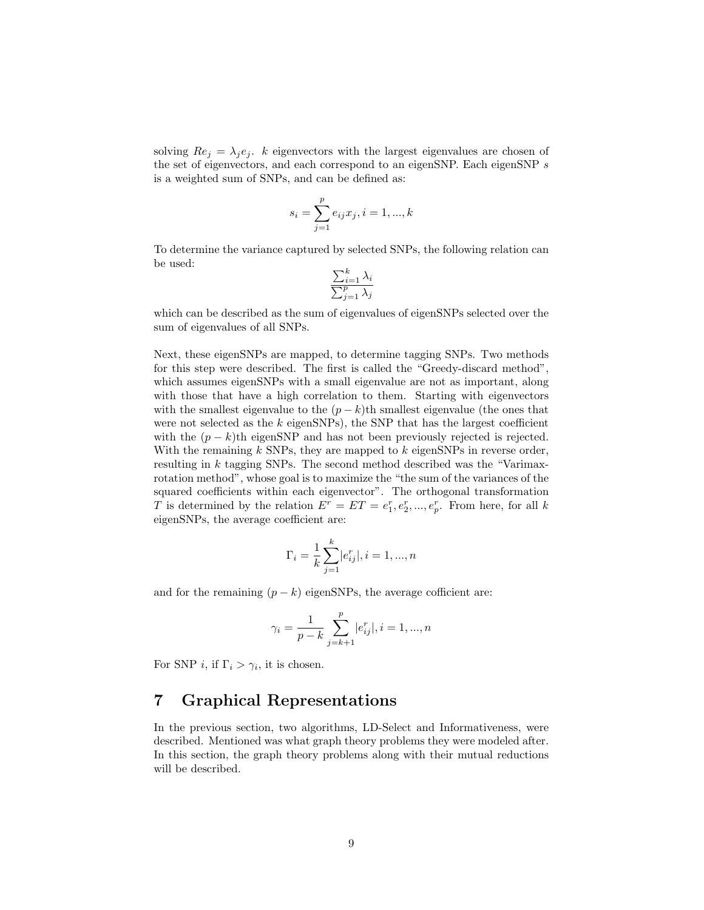solving  $Re_j = \lambda_j e_j$ . k eigenvectors with the largest eigenvalues are chosen of the set of eigenvectors, and each correspond to an eigenSNP. Each eigenSNP s is a weighted sum of SNPs, and can be defined as:

$$
s_i = \sum_{j=1}^{p} e_{ij} x_j, i = 1, ..., k
$$

To determine the variance captured by selected SNPs, the following relation can be used:

$$
\frac{\sum_{i=1}^{k} \lambda_i}{\sum_{j=1}^{p} \lambda_j}
$$

which can be described as the sum of eigenvalues of eigenSNPs selected over the sum of eigenvalues of all SNPs.

Next, these eigenSNPs are mapped, to determine tagging SNPs. Two methods for this step were described. The first is called the "Greedy-discard method", which assumes eigenSNPs with a small eigenvalue are not as important, along with those that have a high correlation to them. Starting with eigenvectors with the smallest eigenvalue to the  $(p - k)$ th smallest eigenvalue (the ones that were not selected as the  $k$  eigenSNPs), the SNP that has the largest coefficient with the  $(p - k)$ th eigenSNP and has not been previously rejected is rejected. With the remaining  $k$  SNPs, they are mapped to  $k$  eigenSNPs in reverse order, resulting in k tagging SNPs. The second method described was the "Varimaxrotation method", whose goal is to maximize the "the sum of the variances of the squared coefficients within each eigenvector". The orthogonal transformation T is determined by the relation  $E^r = ET = e_1^r, e_2^r, ..., e_p^r$ . From here, for all k eigenSNPs, the average coefficient are:

$$
\Gamma_i = \frac{1}{k} \sum_{j=1}^{k} |e_{ij}^r|, i = 1, ..., n
$$

and for the remaining  $(p - k)$  eigenSNPs, the average cofficient are:

$$
\gamma_i = \frac{1}{p-k} \sum_{j=k+1}^{p} |e_{ij}^r|, i = 1, ..., n
$$

For SNP *i*, if  $\Gamma_i > \gamma_i$ , it is chosen.

# 7 Graphical Representations

In the previous section, two algorithms, LD-Select and Informativeness, were described. Mentioned was what graph theory problems they were modeled after. In this section, the graph theory problems along with their mutual reductions will be described.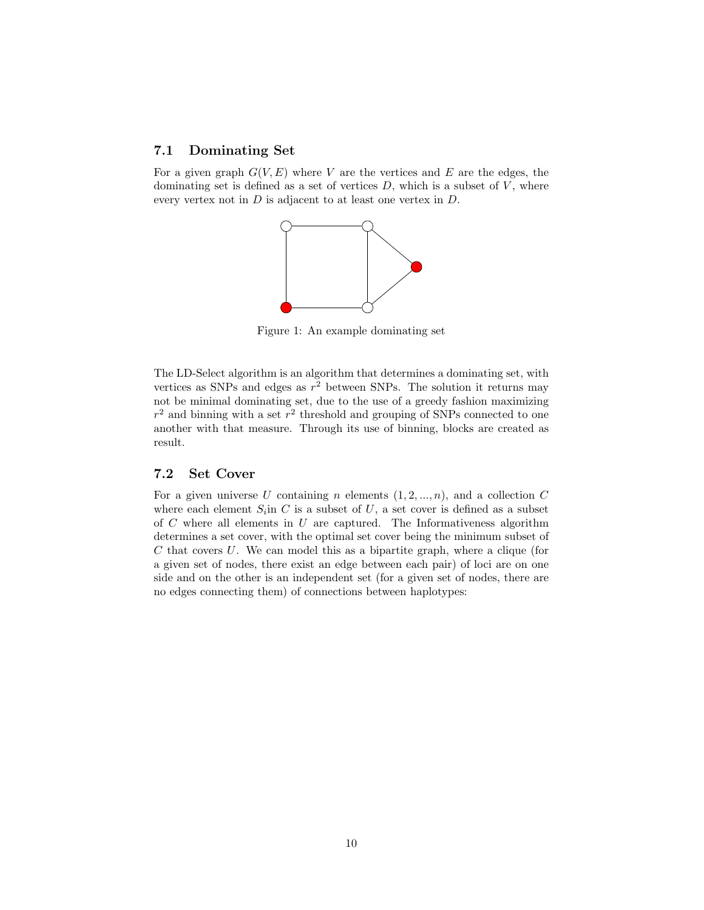#### 7.1 Dominating Set

For a given graph  $G(V, E)$  where V are the vertices and E are the edges, the dominating set is defined as a set of vertices  $D$ , which is a subset of  $V$ , where every vertex not in  $D$  is adjacent to at least one vertex in  $D$ .



Figure 1: An example dominating set

The LD-Select algorithm is an algorithm that determines a dominating set, with vertices as SNPs and edges as  $r^2$  between SNPs. The solution it returns may not be minimal dominating set, due to the use of a greedy fashion maximizing  $r<sup>2</sup>$  and binning with a set  $r<sup>2</sup>$  threshold and grouping of SNPs connected to one another with that measure. Through its use of binning, blocks are created as result.

#### 7.2 Set Cover

For a given universe U containing n elements  $(1, 2, ..., n)$ , and a collection C where each element  $S_i$  in C is a subset of U, a set cover is defined as a subset of  $C$  where all elements in  $U$  are captured. The Informativeness algorithm determines a set cover, with the optimal set cover being the minimum subset of C that covers U. We can model this as a bipartite graph, where a clique (for a given set of nodes, there exist an edge between each pair) of loci are on one side and on the other is an independent set (for a given set of nodes, there are no edges connecting them) of connections between haplotypes: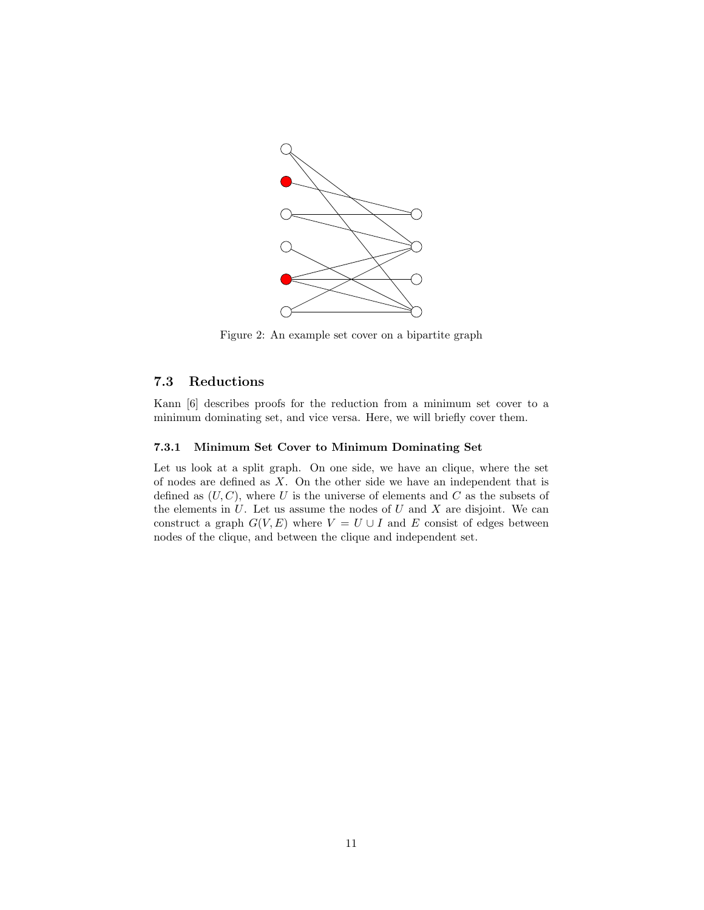

Figure 2: An example set cover on a bipartite graph

### 7.3 Reductions

Kann [6] describes proofs for the reduction from a minimum set cover to a minimum dominating set, and vice versa. Here, we will briefly cover them.

#### 7.3.1 Minimum Set Cover to Minimum Dominating Set

Let us look at a split graph. On one side, we have an clique, where the set of nodes are defined as  $X$ . On the other side we have an independent that is defined as  $(U, C)$ , where U is the universe of elements and C as the subsets of the elements in  $U$ . Let us assume the nodes of  $U$  and  $X$  are disjoint. We can construct a graph  $G(V, E)$  where  $V = U \cup I$  and E consist of edges between nodes of the clique, and between the clique and independent set.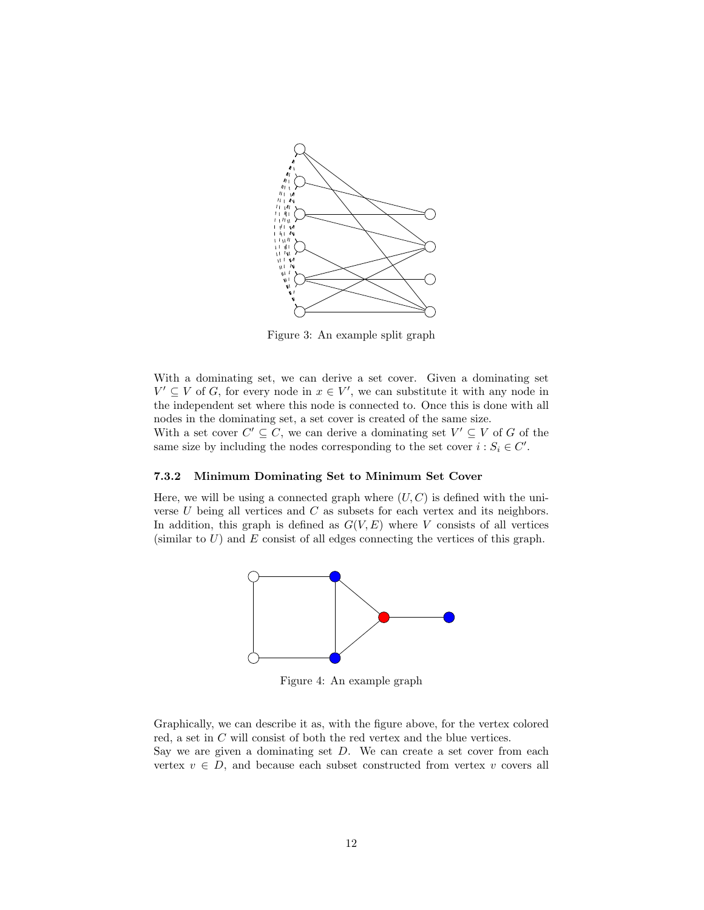

Figure 3: An example split graph

With a dominating set, we can derive a set cover. Given a dominating set  $V' \subseteq V$  of G, for every node in  $x \in V'$ , we can substitute it with any node in the independent set where this node is connected to. Once this is done with all nodes in the dominating set, a set cover is created of the same size. With a set cover  $C' \subseteq C$ , we can derive a dominating set  $V' \subseteq V$  of G of the same size by including the nodes corresponding to the set cover  $i : S_i \in C'$ .

#### 7.3.2 Minimum Dominating Set to Minimum Set Cover

Here, we will be using a connected graph where  $(U, C)$  is defined with the universe  $U$  being all vertices and  $C$  as subsets for each vertex and its neighbors. In addition, this graph is defined as  $G(V, E)$  where V consists of all vertices (similar to  $U$ ) and  $E$  consist of all edges connecting the vertices of this graph.



Figure 4: An example graph

Graphically, we can describe it as, with the figure above, for the vertex colored red, a set in  $C$  will consist of both the red vertex and the blue vertices. Say we are given a dominating set  $D$ . We can create a set cover from each vertex  $v \in D$ , and because each subset constructed from vertex v covers all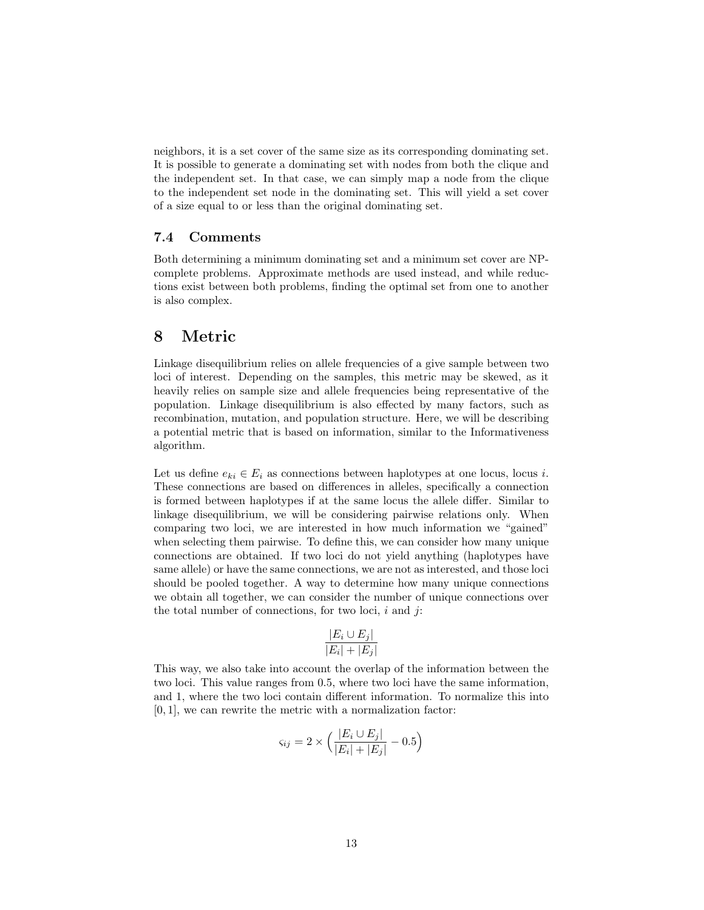neighbors, it is a set cover of the same size as its corresponding dominating set. It is possible to generate a dominating set with nodes from both the clique and the independent set. In that case, we can simply map a node from the clique to the independent set node in the dominating set. This will yield a set cover of a size equal to or less than the original dominating set.

#### 7.4 Comments

Both determining a minimum dominating set and a minimum set cover are NPcomplete problems. Approximate methods are used instead, and while reductions exist between both problems, finding the optimal set from one to another is also complex.

# 8 Metric

Linkage disequilibrium relies on allele frequencies of a give sample between two loci of interest. Depending on the samples, this metric may be skewed, as it heavily relies on sample size and allele frequencies being representative of the population. Linkage disequilibrium is also effected by many factors, such as recombination, mutation, and population structure. Here, we will be describing a potential metric that is based on information, similar to the Informativeness algorithm.

Let us define  $e_{ki} \in E_i$  as connections between haplotypes at one locus, locus *i*. These connections are based on differences in alleles, specifically a connection is formed between haplotypes if at the same locus the allele differ. Similar to linkage disequilibrium, we will be considering pairwise relations only. When comparing two loci, we are interested in how much information we "gained" when selecting them pairwise. To define this, we can consider how many unique connections are obtained. If two loci do not yield anything (haplotypes have same allele) or have the same connections, we are not as interested, and those loci should be pooled together. A way to determine how many unique connections we obtain all together, we can consider the number of unique connections over the total number of connections, for two loci,  $i$  and  $j$ :

$$
\frac{|E_i \cup E_j|}{|E_i| + |E_j|}
$$

This way, we also take into account the overlap of the information between the two loci. This value ranges from 0.5, where two loci have the same information, and 1, where the two loci contain different information. To normalize this into [0, 1], we can rewrite the metric with a normalization factor:

$$
\varsigma_{ij} = 2 \times \left( \frac{|E_i \cup E_j|}{|E_i| + |E_j|} - 0.5 \right)
$$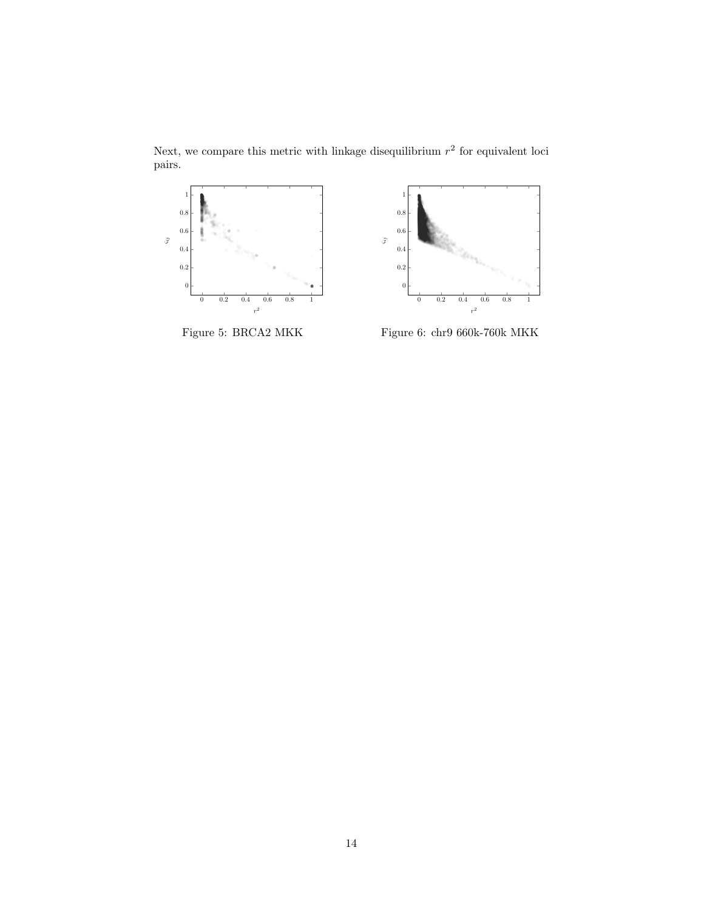Next, we compare this metric with linkage disequilibrium  $r<sup>2</sup>$  for equivalent loci pairs.



Figure 5: BRCA2 MKK



Figure 6: chr9 660k-760k MKK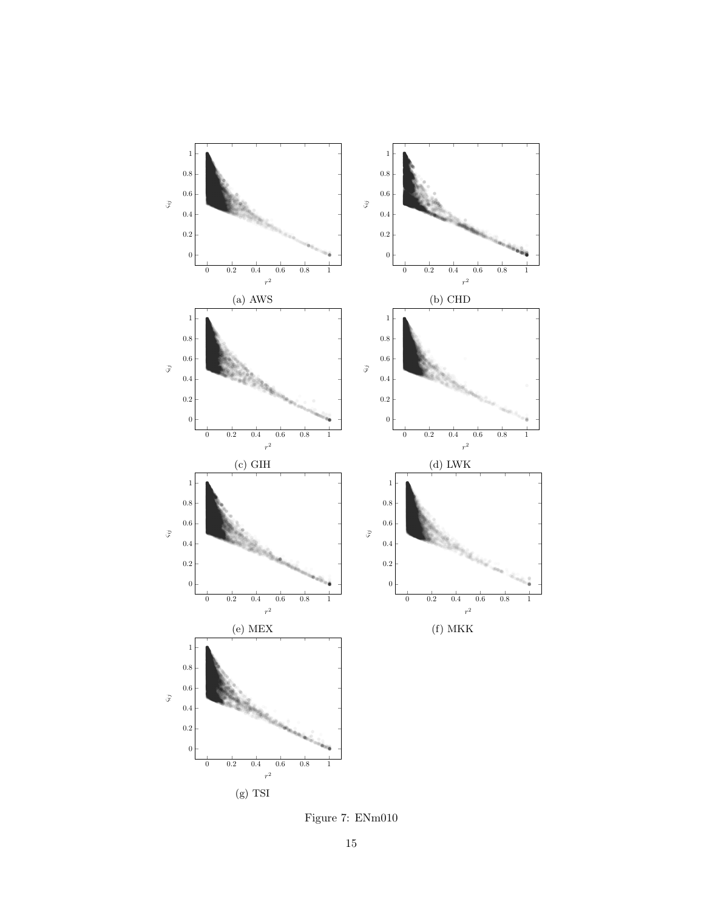

Figure 7: ENm010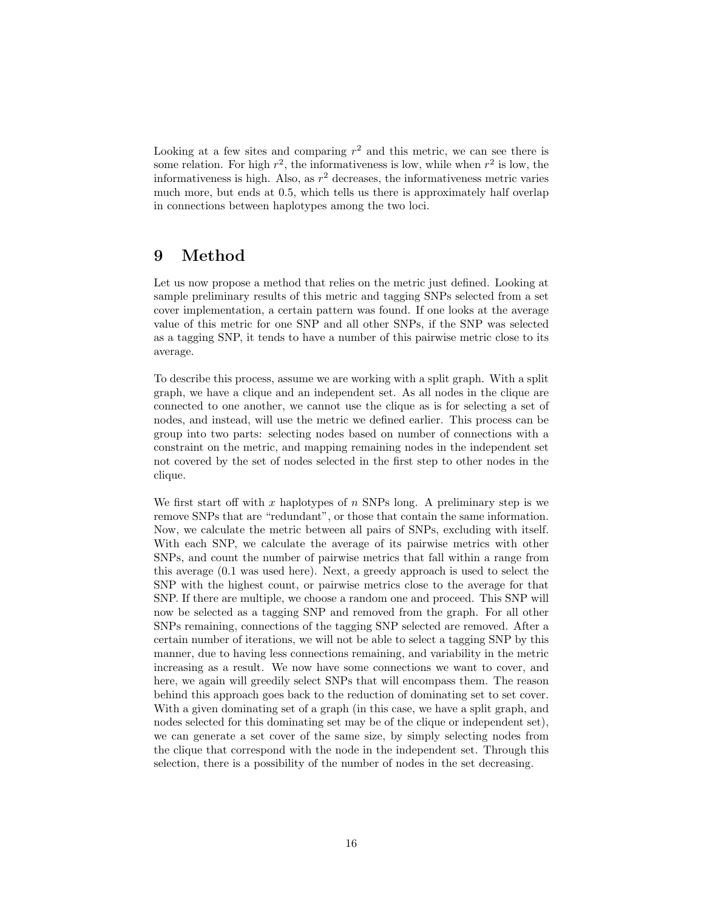Looking at a few sites and comparing  $r^2$  and this metric, we can see there is some relation. For high  $r^2$ , the informativeness is low, while when  $r^2$  is low, the informativeness is high. Also, as  $r^2$  decreases, the informativeness metric varies much more, but ends at 0.5, which tells us there is approximately half overlap in connections between haplotypes among the two loci.

# 9 Method

Let us now propose a method that relies on the metric just defined. Looking at sample preliminary results of this metric and tagging SNPs selected from a set cover implementation, a certain pattern was found. If one looks at the average value of this metric for one SNP and all other SNPs, if the SNP was selected as a tagging SNP, it tends to have a number of this pairwise metric close to its average.

To describe this process, assume we are working with a split graph. With a split graph, we have a clique and an independent set. As all nodes in the clique are connected to one another, we cannot use the clique as is for selecting a set of nodes, and instead, will use the metric we defined earlier. This process can be group into two parts: selecting nodes based on number of connections with a constraint on the metric, and mapping remaining nodes in the independent set not covered by the set of nodes selected in the first step to other nodes in the clique.

We first start off with x haplotypes of n SNPs long. A preliminary step is we remove SNPs that are "redundant", or those that contain the same information. Now, we calculate the metric between all pairs of SNPs, excluding with itself. With each SNP, we calculate the average of its pairwise metrics with other SNPs, and count the number of pairwise metrics that fall within a range from this average (0.1 was used here). Next, a greedy approach is used to select the SNP with the highest count, or pairwise metrics close to the average for that SNP. If there are multiple, we choose a random one and proceed. This SNP will now be selected as a tagging SNP and removed from the graph. For all other SNPs remaining, connections of the tagging SNP selected are removed. After a certain number of iterations, we will not be able to select a tagging SNP by this manner, due to having less connections remaining, and variability in the metric increasing as a result. We now have some connections we want to cover, and here, we again will greedily select SNPs that will encompass them. The reason behind this approach goes back to the reduction of dominating set to set cover. With a given dominating set of a graph (in this case, we have a split graph, and nodes selected for this dominating set may be of the clique or independent set), we can generate a set cover of the same size, by simply selecting nodes from the clique that correspond with the node in the independent set. Through this selection, there is a possibility of the number of nodes in the set decreasing.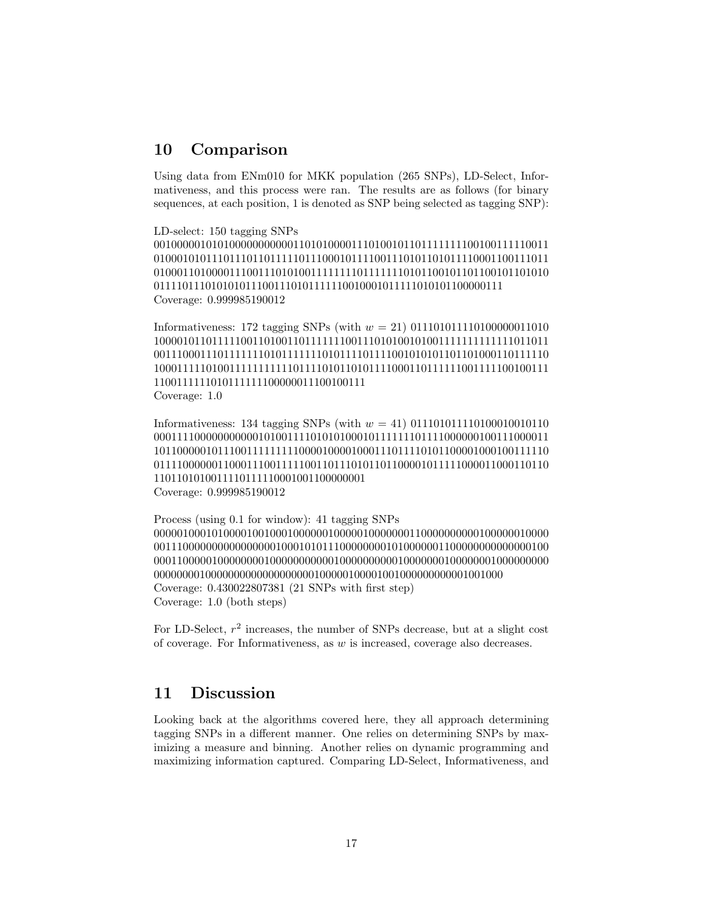## 10 Comparison

Using data from ENm010 for MKK population (265 SNPs), LD-Select, Informativeness, and this process were ran. The results are as follows (for binary sequences, at each position, 1 is denoted as SNP being selected as tagging SNP):

LD-select: 150 tagging SNPs 00100000101010000000000011010100001110100101101111111100100111110011 01000101011101110110111110111000101111001110101101011110001100111011 01000110100001110011101010011111111011111110101100101101100101101010 0111101110101010111001110101111110010001011111010101100000111 Coverage: 0.999985190012

Informativeness: 172 tagging SNPs (with  $w = 21$ ) 0111010111110100000011010 10000101101111100110100110111111100111010100101001111111111111011011 00111000111011111110101111111010111101111001010101101101000110111110 10001111101001111111111101111010110101111000110111111001111100100111 1100111111010111111100000011100100111 Coverage: 1.0

Informativeness: 134 tagging SNPs (with  $w = 41$ ) 01110101111101000100101110 00011110000000000010100111101010100010111111101111000000100111000011 10110000010111001111111110000100001000111011110101100001000100111110 01111000000110001110011111001101110101101100001011111000011000110110 1101101010011110111110001001100000001 Coverage: 0.999985190012

Process (using 0.1 for window): 41 tagging SNPs 00000100010100001001000100000010000010000000110000000000100000010000 00111000000000000000010001010111000000001010000001100000000000000100 00011000001000000001000000000001000000000010000000100000001000000000 0000000010000000000000000000100000100001001000000000001001000 Coverage: 0.430022807381 (21 SNPs with first step) Coverage: 1.0 (both steps)

For LD-Select,  $r^2$  increases, the number of SNPs decrease, but at a slight cost of coverage. For Informativeness, as  $w$  is increased, coverage also decreases.

# 11 Discussion

Looking back at the algorithms covered here, they all approach determining tagging SNPs in a different manner. One relies on determining SNPs by maximizing a measure and binning. Another relies on dynamic programming and maximizing information captured. Comparing LD-Select, Informativeness, and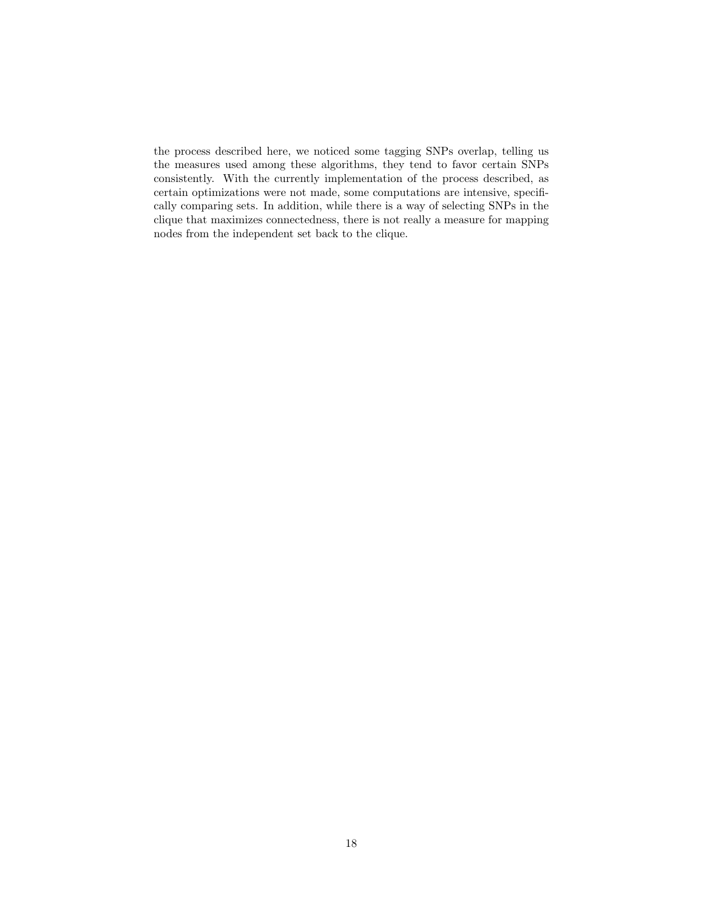the process described here, we noticed some tagging SNPs overlap, telling us the measures used among these algorithms, they tend to favor certain SNPs consistently. With the currently implementation of the process described, as certain optimizations were not made, some computations are intensive, specifically comparing sets. In addition, while there is a way of selecting SNPs in the clique that maximizes connectedness, there is not really a measure for mapping nodes from the independent set back to the clique.